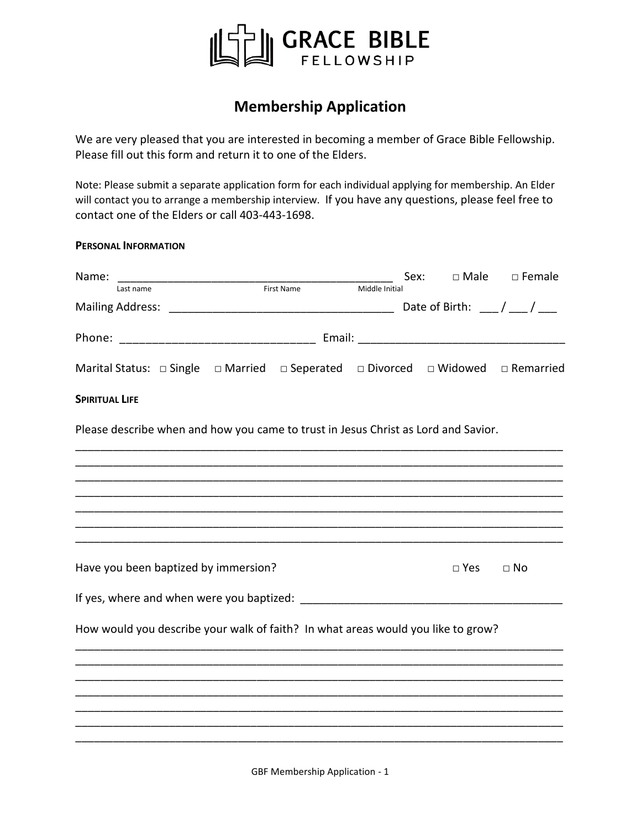

## **Membership Application**

We are very pleased that you are interested in becoming a member of Grace Bible Fellowship. Please fill out this form and return it to one of the Elders.

Note: Please submit a separate application form for each individual applying for membership. An Elder will contact you to arrange a membership interview. If you have any questions, please feel free to contact one of the Elders or call 403-443-1698.

## **PERSONAL INFORMATION**

| Name:                 |                                                                                                               |            |                | Sex: |            | $\square$ Male $\square$ Female |
|-----------------------|---------------------------------------------------------------------------------------------------------------|------------|----------------|------|------------|---------------------------------|
|                       | Last name                                                                                                     | First Name | Middle Initial |      |            |                                 |
|                       |                                                                                                               |            |                |      |            |                                 |
|                       |                                                                                                               |            |                |      |            |                                 |
|                       | Marital Status: $\Box$ Single $\Box$ Married $\Box$ Seperated $\Box$ Divorced $\Box$ Widowed $\Box$ Remarried |            |                |      |            |                                 |
| <b>SPIRITUAL LIFE</b> |                                                                                                               |            |                |      |            |                                 |
|                       | Please describe when and how you came to trust in Jesus Christ as Lord and Savior.                            |            |                |      |            |                                 |
|                       |                                                                                                               |            |                |      |            |                                 |
|                       |                                                                                                               |            |                |      |            |                                 |
|                       |                                                                                                               |            |                |      |            |                                 |
|                       |                                                                                                               |            |                |      |            |                                 |
|                       | Have you been baptized by immersion?                                                                          |            |                |      | $\Box$ Yes | $\Box$ No                       |
|                       |                                                                                                               |            |                |      |            |                                 |
|                       | How would you describe your walk of faith? In what areas would you like to grow?                              |            |                |      |            |                                 |
|                       |                                                                                                               |            |                |      |            |                                 |
|                       |                                                                                                               |            |                |      |            |                                 |
|                       |                                                                                                               |            |                |      |            |                                 |
|                       |                                                                                                               |            |                |      |            |                                 |
|                       |                                                                                                               |            |                |      |            |                                 |

GBF Membership Application - 1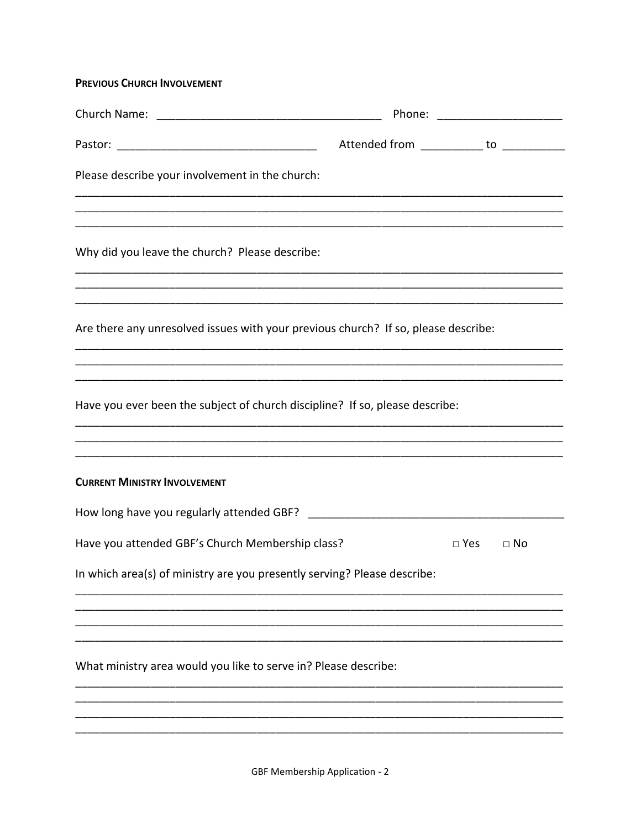## **PREVIOUS CHURCH INVOLVEMENT**

|                                                                                                                                                                                                              |                                          |               | Phone: ______________________ |
|--------------------------------------------------------------------------------------------------------------------------------------------------------------------------------------------------------------|------------------------------------------|---------------|-------------------------------|
|                                                                                                                                                                                                              | Attended from ___________ to ___________ |               |                               |
| Please describe your involvement in the church:                                                                                                                                                              |                                          |               |                               |
| Why did you leave the church? Please describe:<br><u> 1989 - Johann Harry Barn, mars and deutscher Stadt and deutscher Stadt and deutscher Stadt and deutscher Stadt</u>                                     |                                          |               |                               |
| Are there any unresolved issues with your previous church? If so, please describe:<br><u> 1980 - Johann Barn, mars ann an t-Amhainn an t-Amhainn an t-Amhainn an t-Amhainn an t-Amhainn an t-Amhainn an </u> |                                          |               |                               |
| Have you ever been the subject of church discipline? If so, please describe:                                                                                                                                 |                                          |               |                               |
| <b>CURRENT MINISTRY INVOLVEMENT</b>                                                                                                                                                                          |                                          |               |                               |
|                                                                                                                                                                                                              |                                          |               |                               |
| Have you attended GBF's Church Membership class?                                                                                                                                                             |                                          | $\square$ Yes | $\Box$ No                     |
| In which area(s) of ministry are you presently serving? Please describe:                                                                                                                                     |                                          |               |                               |
|                                                                                                                                                                                                              |                                          |               |                               |
| What ministry area would you like to serve in? Please describe:                                                                                                                                              |                                          |               |                               |
|                                                                                                                                                                                                              |                                          |               |                               |
|                                                                                                                                                                                                              |                                          |               |                               |